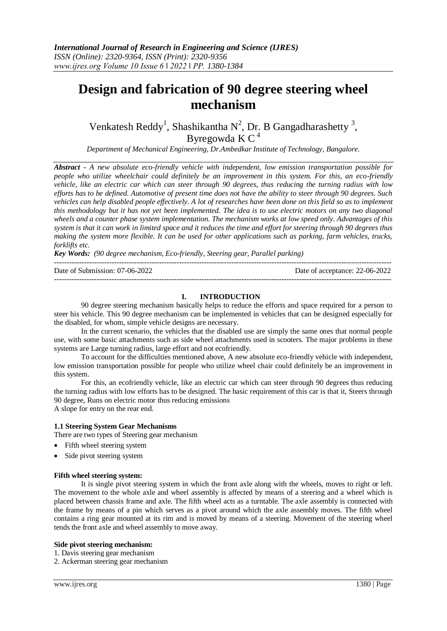# **Design and fabrication of 90 degree steering wheel mechanism**

Venkatesh Reddy<sup>1</sup>, Shashikantha N<sup>2</sup>, Dr. B Gangadharashetty<sup>3</sup>, Byregowda K  $C<sup>4</sup>$ 

*Department of Mechanical Engineering, Dr.Ambedkar Institute of Technology, Bangalore.*

*Abstract - A new absolute eco-friendly vehicle with independent, low emission transportation possible for people who utilize wheelchair could definitely be an improvement in this system. For this, an eco-friendly vehicle, like an electric car which can steer through 90 degrees, thus reducing the turning radius with low efforts has to be defined. Automotive of present time does not have the ability to steer through 90 degrees. Such vehicles can help disabled people effectively. A lot of researches have been done on this field so as to implement this methodology but it has not yet been implemented. The idea is to use electric motors on any two diagonal wheels and a counter phase system implementation. The mechanism works at low speed only. Advantages of this system is that it can work in limited space and it reduces the time and effort for steering through 90 degrees thus making the system more flexible. It can be used for other applications such as parking, farm vehicles, trucks, forklifts etc.*

*Key Words: (90 degree mechanism, Eco-friendly, Steering gear, Parallel parking)*

| Date of Submission: 07-06-2022 | Date of acceptance: 22-06-2022 |
|--------------------------------|--------------------------------|
|                                |                                |

## **I. INTRODUCTION**

90 degree steering mechanism basically helps to reduce the efforts and space required for a person to steer his vehicle. This 90 degree mechanism can be implemented in vehicles that can be designed especially for the disabled, for whom, simple vehicle designs are necessary.

In the current scenario, the vehicles that the disabled use are simply the same ones that normal people use, with some basic attachments such as side wheel attachments used in scooters. The major problems in these systems are Large turning radius, large effort and not ecofriendly.

To account for the difficulties mentioned above, A new absolute eco-friendly vehicle with independent, low emission transportation possible for people who utilize wheel chair could definitely be an improvement in this system.

For this, an ecofriendly vehicle, like an electric car which can steer through 90 degrees thus reducing the turning radius with low efforts has to be designed. The basic requirement of this car is that it, Steers through 90 degree, Runs on electric motor thus reducing emissions A slope for entry on the rear end.

**1.1 Steering System Gear Mechanisms**

There are two types of Steering gear mechanism

- Fifth wheel steering system
- Side pivot steering system

## **Fifth wheel steering system:**

It is single pivot steering system in which the front axle along with the wheels, moves to right or left. The movement to the whole axle and wheel assembly is affected by means of a steering and a wheel which is placed between chassis frame and axle. The fifth wheel acts as a turntable. The axle assembly is connected with the frame by means of a pin which serves as a pivot around which the axle assembly moves. The fifth wheel contains a ring gear mounted at its rim and is moved by means of a steering. Movement of the steering wheel tends the front axle and wheel assembly to move away.

## **Side pivot steering mechanism:**

- 1. Davis steering gear mechanism
- 2. Ackerman steering gear mechanism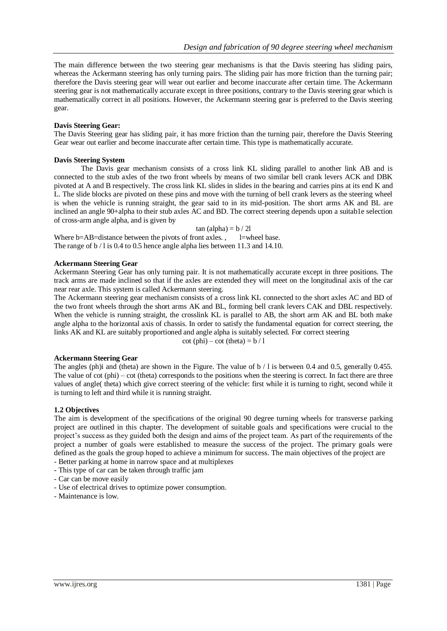The main difference between the two steering gear mechanisms is that the Davis steering has sliding pairs, whereas the Ackermann steering has only turning pairs. The sliding pair has more friction than the turning pair; therefore the Davis steering gear will wear out earlier and become inaccurate after certain time. The Ackermann steering gear is not mathematically accurate except in three positions, contrary to the Davis steering gear which is mathematically correct in all positions. However, the Ackermann steering gear is preferred to the Davis steering gear.

## **Davis Steering Gear:**

The Davis Steering gear has sliding pair, it has more friction than the turning pair, therefore the Davis Steering Gear wear out earlier and become inaccurate after certain time. This type is mathematically accurate.

## **Davis Steering System**

The Davis gear mechanism consists of a cross link KL sliding parallel to another link AB and is connected to the stub axles of the two front wheels by means of two similar bell crank levers ACK and DBK pivoted at A and B respectively. The cross link KL slides in slides in the bearing and carries pins at its end K and L. The slide blocks are pivoted on these pins and move with the turning of bell crank levers as the steering wheel is when the vehicle is running straight, the gear said to in its mid-position. The short arms AK and BL are inclined an angle 90+alpha to their stub axles AC and BD. The correct steering depends upon a suitab1e selection of cross-arm angle alpha, and is given by

tan  $(alpha) = b / 2l$ Where  $b=AB=distance$  between the pivots of front axles. , l=wheel base. The range of b / l is 0.4 to 0.5 hence angle alpha lies between 11.3 and 14.10.

## **Ackermann Steering Gear**

Ackermann Steering Gear has only turning pair. It is not mathematically accurate except in three positions. The track arms are made inclined so that if the axles are extended they will meet on the longitudinal axis of the car near rear axle. This system is called Ackermann steering.

The Ackermann steering gear mechanism consists of a cross link KL connected to the short axles AC and BD of the two front wheels through the short arms AK and BL, forming bell crank levers CAK and DBL respectively. When the vehicle is running straight, the crosslink KL is parallel to AB, the short arm AK and BL both make angle alpha to the horizontal axis of chassis. In order to satisfy the fundamental equation for correct steering, the links AK and KL are suitably proportioned and angle alpha is suitably selected. For correct steering

 $\cot$  (phi) – cot (theta) =  $\frac{b}{1}$ 

## **Ackermann Steering Gear**

The angles (ph)i and (theta) are shown in the Figure. The value of  $b / 1$  is between 0.4 and 0.5, generally 0.455. The value of cot (phi) – cot (theta) corresponds to the positions when the steering is correct. In fact there are three values of angle( theta) which give correct steering of the vehicle: first while it is turning to right, second while it is turning to left and third while it is running straight.

## **1.2 Objectives**

The aim is development of the specifications of the original 90 degree turning wheels for transverse parking project are outlined in this chapter. The development of suitable goals and specifications were crucial to the project's success as they guided both the design and aims of the project team. As part of the requirements of the project a number of goals were established to measure the success of the project. The primary goals were defined as the goals the group hoped to achieve a minimum for success. The main objectives of the project are - Better parking at home in narrow space and at multiplexes

- This type of car can be taken through traffic jam
- Car can be move easily
- Use of electrical drives to optimize power consumption.
- Maintenance is low.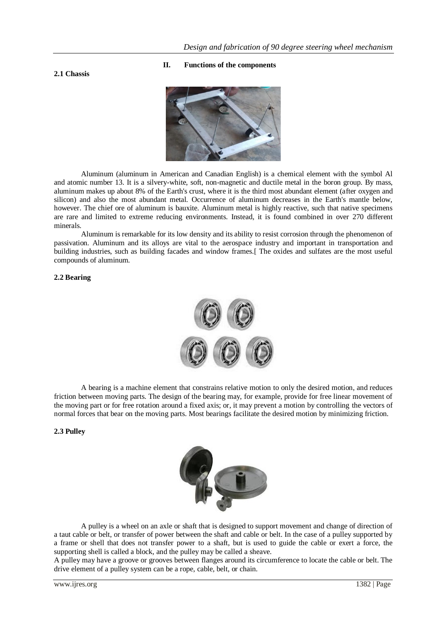## **2.1 Chassis**

#### **II. Functions of the components**



Aluminum (aluminum in American and Canadian English) is a chemical element with the symbol Al and atomic number 13. It is a silvery-white, soft, non-magnetic and ductile metal in the boron group. By mass, aluminum makes up about 8% of the Earth's crust, where it is the third most abundant element (after oxygen and silicon) and also the most abundant metal. Occurrence of aluminum decreases in the Earth's mantle below, however. The chief ore of aluminum is bauxite. Aluminum metal is highly reactive, such that native specimens are rare and limited to extreme reducing environments. Instead, it is found combined in over 270 different minerals.

Aluminum is remarkable for its low density and its ability to resist corrosion through the phenomenon of passivation. Aluminum and its alloys are vital to the aerospace industry and important in transportation and building industries, such as building facades and window frames.[ The oxides and sulfates are the most useful compounds of aluminum.

## **2.2 Bearing**



A bearing is a machine element that constrains relative motion to only the desired motion, and reduces friction between moving parts. The design of the bearing may, for example, provide for free linear movement of the moving part or for free rotation around a fixed axis; or, it may prevent a motion by controlling the vectors of normal forces that bear on the moving parts. Most bearings facilitate the desired motion by minimizing friction.

## **2.3 Pulley**



A pulley is a wheel on an axle or shaft that is designed to support movement and change of direction of a taut cable or belt, or transfer of power between the shaft and cable or belt. In the case of a pulley supported by a frame or shell that does not transfer power to a shaft, but is used to guide the cable or exert a force, the supporting shell is called a block, and the pulley may be called a sheave.

A pulley may have a groove or grooves between flanges around its circumference to locate the cable or belt. The drive element of a pulley system can be a rope, cable, belt, or chain.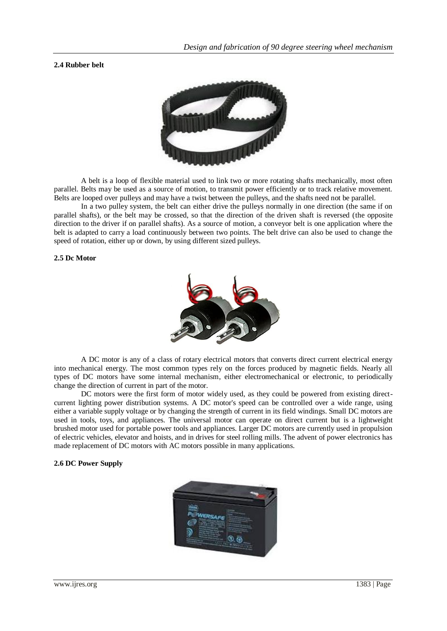## **2.4 Rubber belt**



A belt is a loop of flexible material used to link two or more rotating shafts mechanically, most often parallel. Belts may be used as a source of motion, to transmit power efficiently or to track relative movement. Belts are looped over pulleys and may have a twist between the pulleys, and the shafts need not be parallel.

In a two pulley system, the belt can either drive the pulleys normally in one direction (the same if on parallel shafts), or the belt may be crossed, so that the direction of the driven shaft is reversed (the opposite direction to the driver if on parallel shafts). As a source of motion, a conveyor belt is one application where the belt is adapted to carry a load continuously between two points. The belt drive can also be used to change the speed of rotation, either up or down, by using different sized pulleys.

### **2.5 Dc Motor**



A DC motor is any of a class of rotary electrical motors that converts direct current electrical energy into mechanical energy. The most common types rely on the forces produced by magnetic fields. Nearly all types of DC motors have some internal mechanism, either electromechanical or electronic, to periodically change the direction of current in part of the motor.

DC motors were the first form of motor widely used, as they could be powered from existing directcurrent lighting power distribution systems. A DC motor's speed can be controlled over a wide range, using either a variable supply voltage or by changing the strength of current in its field windings. Small DC motors are used in tools, toys, and appliances. The universal motor can operate on direct current but is a lightweight brushed motor used for portable power tools and appliances. Larger DC motors are currently used in propulsion of electric vehicles, elevator and hoists, and in drives for steel rolling mills. The advent of power electronics has made replacement of DC motors with AC motors possible in many applications.

## **2.6 DC Power Supply**